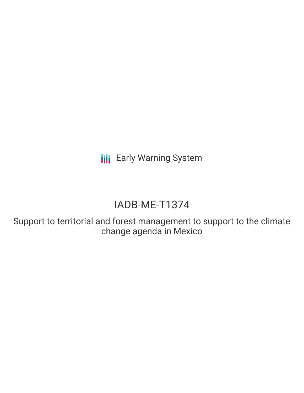**III** Early Warning System

# IADB-ME-T1374

Support to territorial and forest management to support to the climate change agenda in Mexico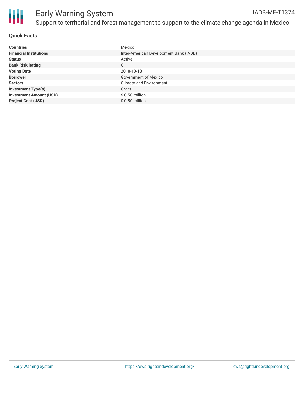

#### **Quick Facts**

| <b>Countries</b>               | Mexico                                 |
|--------------------------------|----------------------------------------|
| <b>Financial Institutions</b>  | Inter-American Development Bank (IADB) |
| <b>Status</b>                  | Active                                 |
| <b>Bank Risk Rating</b>        | C                                      |
| <b>Voting Date</b>             | 2018-10-18                             |
| <b>Borrower</b>                | Government of Mexico                   |
| <b>Sectors</b>                 | <b>Climate and Environment</b>         |
| <b>Investment Type(s)</b>      | Grant                                  |
| <b>Investment Amount (USD)</b> | $$0.50$ million                        |
| <b>Project Cost (USD)</b>      | $$0.50$ million                        |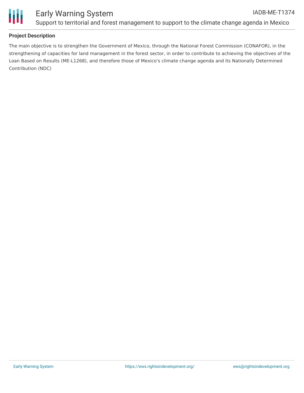

## **Project Description**

The main objective is to strengthen the Government of Mexico, through the National Forest Commission (CONAFOR), in the strengthening of capacities for land management in the forest sector, in order to contribute to achieving the objectives of the Loan Based on Results (ME-L1268), and therefore those of Mexico's climate change agenda and its Nationally Determined Contribution (NDC)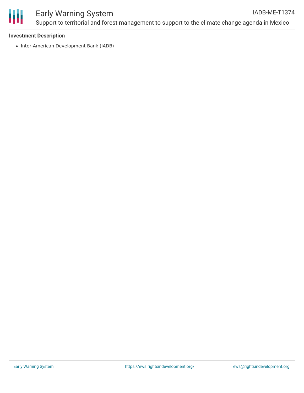

#### Early Warning System Support to territorial and forest management to support to the climate change agenda in Mexico IADB-ME-T1374

#### **Investment Description**

• Inter-American Development Bank (IADB)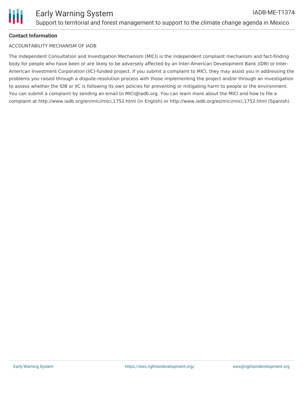

## **Contact Information**

#### ACCOUNTABILITY MECHANISM OF IADB

The Independent Consultation and Investigation Mechanism (MICI) is the independent complaint mechanism and fact-finding body for people who have been or are likely to be adversely affected by an Inter-American Development Bank (IDB) or Inter-American Investment Corporation (IIC)-funded project. If you submit a complaint to MICI, they may assist you in addressing the problems you raised through a dispute-resolution process with those implementing the project and/or through an investigation to assess whether the IDB or IIC is following its own policies for preventing or mitigating harm to people or the environment. You can submit a complaint by sending an email to MICI@iadb.org. You can learn more about the MICI and how to file a complaint at http://www.iadb.org/en/mici/mici,1752.html (in English) or http://www.iadb.org/es/mici/mici,1752.html (Spanish).